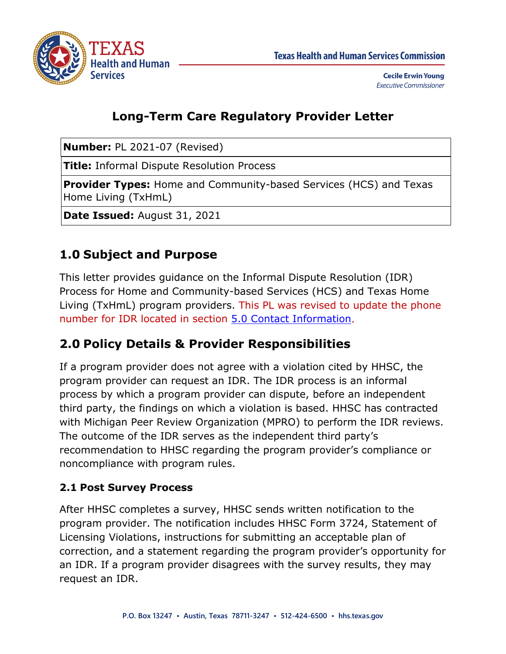

## **Long-Term Care Regulatory Provider Letter**

**Number:** PL 2021-07 (Revised)

**Title:** Informal Dispute Resolution Process

**Provider Types:** Home and Community-based Services (HCS) and Texas Home Living (TxHmL)

**Date Issued:** August 31, 2021

# **1.0 Subject and Purpose**

This letter provides guidance on the Informal Dispute Resolution (IDR) Process for Home and Community-based Services (HCS) and Texas Home Living (TxHmL) program providers. This PL was revised to update the phone number for IDR located in section [5.0 Contact Information.](#page-3-0)

## **2.0 Policy Details & Provider Responsibilities**

If a program provider does not agree with a violation cited by HHSC, the program provider can request an IDR. The IDR process is an informal process by which a program provider can dispute, before an independent third party, the findings on which a violation is based. HHSC has contracted with Michigan Peer Review Organization (MPRO) to perform the IDR reviews. The outcome of the IDR serves as the independent third party's recommendation to HHSC regarding the program provider's compliance or noncompliance with program rules.

#### **2.1 Post Survey Process**

After HHSC completes a survey, HHSC sends written notification to the program provider. The notification includes HHSC Form 3724, Statement of Licensing Violations, instructions for submitting an acceptable plan of correction, and a statement regarding the program provider's opportunity for an IDR. If a program provider disagrees with the survey results, they may request an IDR.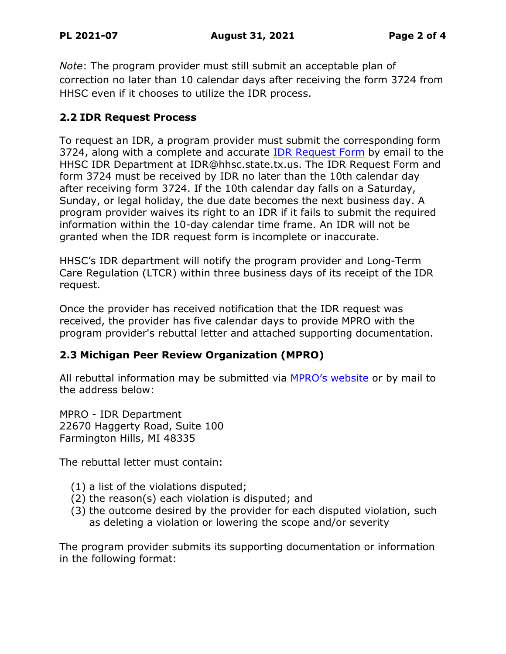*Note*: The program provider must still submit an acceptable plan of correction no later than 10 calendar days after receiving the form 3724 from HHSC even if it chooses to utilize the IDR process.

#### **2.2 IDR Request Process**

To request an IDR, a program provider must submit the corresponding form 3724, along with a complete and accurate [IDR Request Form](https://hhs.texas.gov/sites/default/files/documents/doing-business-with-hhs/vendor-contract-information/idr/idr-request-form-hcs-txhml.pdf) by email to the HHSC IDR Department at IDR@hhsc.state.tx.us. The IDR Request Form and form 3724 must be received by IDR no later than the 10th calendar day after receiving form 3724. If the 10th calendar day falls on a Saturday, Sunday, or legal holiday, the due date becomes the next business day. A program provider waives its right to an IDR if it fails to submit the required information within the 10-day calendar time frame. An IDR will not be granted when the IDR request form is incomplete or inaccurate.

HHSC's IDR department will notify the program provider and Long-Term Care Regulation (LTCR) within three business days of its receipt of the IDR request.

Once the provider has received notification that the IDR request was received, the provider has five calendar days to provide MPRO with the program provider's rebuttal letter and attached supporting documentation.

#### **2.3 Michigan Peer Review Organization (MPRO)**

All rebuttal information may be submitted via [MPRO's website](http://www.mpro.org/review-services/informal-dispute-resolution/texas-idr/) or by mail to the address below:

MPRO - IDR Department 22670 Haggerty Road, Suite 100 Farmington Hills, MI 48335

The rebuttal letter must contain:

- (1) a list of the violations disputed;
- (2) the reason(s) each violation is disputed; and
- (3) the outcome desired by the provider for each disputed violation, such as deleting a violation or lowering the scope and/or severity

The program provider submits its supporting documentation or information in the following format: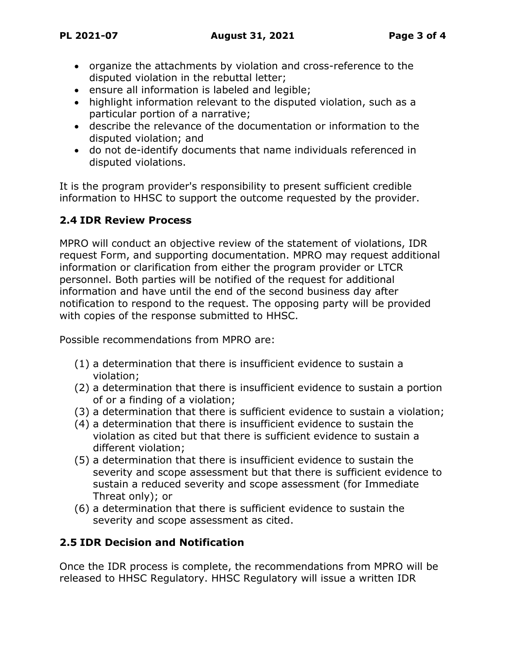- organize the attachments by violation and cross-reference to the disputed violation in the rebuttal letter;
- ensure all information is labeled and legible;
- highlight information relevant to the disputed violation, such as a particular portion of a narrative;
- describe the relevance of the documentation or information to the disputed violation; and
- do not de-identify documents that name individuals referenced in disputed violations.

It is the program provider's responsibility to present sufficient credible information to HHSC to support the outcome requested by the provider.

### **2.4 IDR Review Process**

MPRO will conduct an objective review of the statement of violations, IDR request Form, and supporting documentation. MPRO may request additional information or clarification from either the program provider or LTCR personnel. Both parties will be notified of the request for additional information and have until the end of the second business day after notification to respond to the request. The opposing party will be provided with copies of the response submitted to HHSC.

Possible recommendations from MPRO are:

- (1) a determination that there is insufficient evidence to sustain a violation;
- (2) a determination that there is insufficient evidence to sustain a portion of or a finding of a violation;
- (3) a determination that there is sufficient evidence to sustain a violation;
- (4) a determination that there is insufficient evidence to sustain the violation as cited but that there is sufficient evidence to sustain a different violation;
- (5) a determination that there is insufficient evidence to sustain the severity and scope assessment but that there is sufficient evidence to sustain a reduced severity and scope assessment (for Immediate Threat only); or
- (6) a determination that there is sufficient evidence to sustain the severity and scope assessment as cited.

### **2.5 IDR Decision and Notification**

Once the IDR process is complete, the recommendations from MPRO will be released to HHSC Regulatory. HHSC Regulatory will issue a written IDR